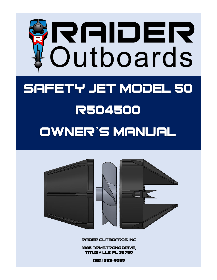

# SAFETY JET MODEL 50 R504500 OWNER'S MANUAL



RAIDER OUTBOARDS, INC

1885 ARMSTRONG DRIVE, TITUSVILLE, FL 32780

(321) 383 9585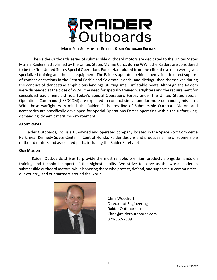

#### **MULTI-FUEL SUBMERSIBLE ELECTRIC START OUTBOARD ENGINES**

The Raider Outboards series of submersible outboard motors are dedicated to the United States Marine Raiders. Established by the United States Marine Corps during WWII, the Raiders are considered to be the first United States Special Operations Force. Handpicked from the elite, these men were given specialized training and the best equipment. The Raiders operated behind enemy lines in direct support of combat operations in the Central Pacific and Solomon Islands, and distinguished themselves during the conduct of clandestine amphibious landings utilizing small, inflatable boats. Although the Raiders were disbanded at the close of WWII, the need for specially trained warfighters and the requirement for specialized equipment did not. Today's Special Operations Forces under the United States Special Operations Command (USSOCOM) are expected to conduct similar and far more demanding missions. With those warfighters in mind, the Raider Outboards line of Submersible Outboard Motors and accessories are specifically developed for Special Operations Forces operating within the unforgiving, demanding, dynamic maritime environment.

#### **ABOUT RAIDER**

Raider Outboards, Inc. is a US-owned and operated company located in the Space Port Commerce Park, near Kennedy Space Center in Central Florida. Raider designs and produces a line of submersible outboard motors and associated parts, including the Raider Safety Jet.

#### **OUR MISSION**

Raider Outboards strives to provide the most reliable, premium products alongside hands on training and technical support of the highest quality. We strive to serve as the world leader in submersible outboard motors, while honoring those who protect, defend, and support our communities, our country, and our partners around the world.



Chris Woodruff Director of Engineering Raider Outboards Inc. Chris@raideroutboards.com 321-567-2309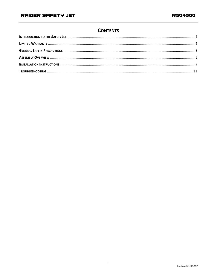### **CONTENTS**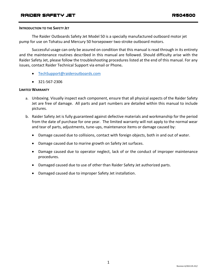#### <span id="page-3-0"></span>**INTRODUCTION TO THE SAFETY JET**

The Raider Outboards Safety Jet Model 50 is a specially manufactured outboard motor jet pump for use on Tohatsu and Mercury 50 horsepower two-stroke outboard motors.

Successful usage can only be assured on condition that this manual is read through in its entirety and the maintenance routines described in this manual are followed. Should difficulty arise with the Raider Safety Jet, please follow the troubleshooting procedures listed at the end of this manual. For any issues, contact Raider Technical Support via email or Phone*.*

- [TechSupport@raideroutboards.com](mailto:TechSupport@raideroutboards.com)
- 321-567-2306

#### <span id="page-3-1"></span>**LIMITED WARRANTY**

- a. Unboxing. Visually inspect each component, ensure that all physical aspects of the Raider Safety Jet are free of damage. All parts and part numbers are detailed within this manual to include pictures.
- b. Raider Safety Jet is fully guaranteed against defective materials and workmanship for the period from the date of purchase for one year. The limited warranty will not apply to the normal wear and tear of parts, adjustments, tune-ups, maintenance items or damage caused by:
	- Damage caused due to collisions, contact with foreign objects, both in and out of water.
	- Damage caused due to marine growth on Safety Jet surfaces.
	- Damage caused due to operator neglect, lack of or the conduct of improper maintenance procedures.
	- Damaged caused due to use of other than Raider Safety Jet authorized parts.
	- Damaged caused due to improper Safety Jet installation.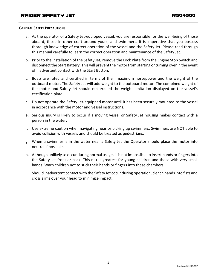#### <span id="page-5-0"></span>**GENERAL SAFETY PRECAUTIONS**

- a. As the operator of a Safety Jet-equipped vessel, you are responsible for the well-being of those aboard, those in other craft around yours, and swimmers. It is imperative that you possess thorough knowledge of correct operation of the vessel and the Safety Jet. Please read through this manual carefully to learn the correct operation and maintenance of the Safety Jet.
- b. Prior to the installation of the Safety Jet, remove the Lock Plate from the Engine Stop Switch and disconnect the Start Battery. This will prevent the motor from starting or turning over in the event of inadvertent contact with the Start Button.
- c. Boats are rated and certified in terms of their maximum horsepower and the weight of the outboard motor. The Safety Jet will add weight to the outboard motor. The combined weight of the motor and Safety Jet should not exceed the weight limitation displayed on the vessel's certification plate.
- d. Do not operate the Safety Jet-equipped motor until it has been securely mounted to the vessel in accordance with the motor and vessel instructions.
- e. Serious injury is likely to occur if a moving vessel or Safety Jet housing makes contact with a person in the water.
- f. Use extreme caution when navigating near or picking up swimmers. Swimmers are NOT able to avoid collision with vessels and should be treated as pedestrians.
- g. When a swimmer is in the water near a Safety Jet the Operator should place the motor into neutral if possible.
- h. Although unlikely to occur during normal usage, it is not impossible to insert hands or fingers into the Safety Jet front or back. This risk is greatest for young children and those with very small hands. Warn children not to stick their hands or fingers into these chambers.
- i. Should inadvertent contact with the Safety Jet occur during operation, clench hands into fists and cross arms over your head to minimize impact.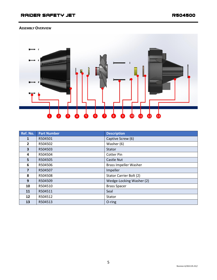#### <span id="page-7-0"></span>**ASSEMBLY OVERVIEW**



| Ref. No.                | <b>Part Number</b> | <b>Description</b>           |
|-------------------------|--------------------|------------------------------|
| 1                       | R504501            | Captive Screw (6)            |
| $\mathbf{2}$            | R504502            | Washer (6)                   |
| $\overline{\mathbf{3}}$ | R504503            | Stator                       |
| 4                       | R504504            | Cotter Pin                   |
| 5 <sup>1</sup>          | R504505            | Castle Nut                   |
| 6                       | R504506            | <b>Brass Impeller Washer</b> |
| $\overline{\mathbf{z}}$ | R504507            | Impeller                     |
| 8                       | R504508            | Stator Carrier Bolt (2)      |
| 9                       | R504509            | Wedge-Locking Washer (2)     |
| 10                      | R504510            | <b>Brass Spacer</b>          |
| 11                      | R504511            | Seal                         |
| 12                      | R504512            | Stator                       |
| 13                      | R504513            | O-ring                       |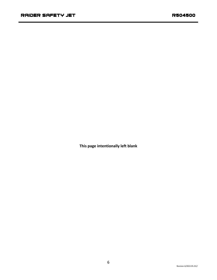6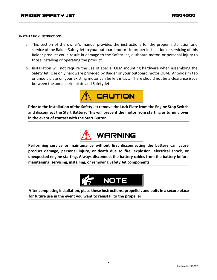#### <span id="page-9-0"></span>**INSTALLATION INSTRUCTIONS**

- a. This section of the owner's manual provides the instructions for the proper installation and service of the Raider Safety Jet to your outboard motor. Improper installation or servicing of this Raider product could result in damage to the Safety Jet, outboard motor, or personal injury to those installing or operating the product.
- b. Installation will not require the use of special OEM mounting hardware when assembling the Safety Jet. Use only hardware provided by Raider or your outboard motor OEM. Anodic rim tab or anodic plate on your existing motor can be left intact. There should not be a clearance issue between the anodic trim plate and Safety Jet.



**Prior to the installation of the Safety Jet remove the Lock Plate from the Engine Stop Switch and disconnect the Start Battery. This will prevent the motor from starting or turning over in the event of contact with the Start Button.**

$$
\overbrace{\phantom{a}}^{\text{M} \text{M} \text{R} \text{N} \text{N} \text{G}}
$$

**Performing service or maintenance without first disconnecting the battery can cause product damage, personal injury, or death due to fire, explosion, electrical shock, or unexpected engine starting. Always disconnect the battery cables from the battery before maintaining, servicing, installing, or removing Safety Jet components.**



**After completing installation, place these instructions, propeller, and bolts in a secure place for future use in the event you want to reinstall to the propeller.**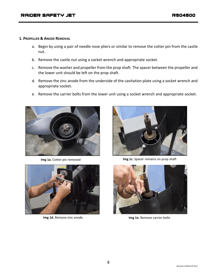#### **1. PROPELLER & ANODE REMOVAL**

- a. Begin by using a pair of needle nose pliers or similar to remove the cotter pin from the castle nut.
- b. Remove the castle nut using a socket wrench and appropriate socket.
- c. Remove the washer and propeller from the prop shaft. The spacer between the propeller and the lower unit should be left on the prop shaft.
- d. Remove the zinc anode from the underside of the cavitation plate using a socket wrench and appropriate socket.
- e. Remove the carrier bolts from the lower unit using a socket wrench and appropriate socket.





**Img 1d.** Remove zinc anode **Img 1e.** Remove carrier bolts



**Img 1a.** Cotter pin removed **Img 1c.** Spacer remains on prop shaft

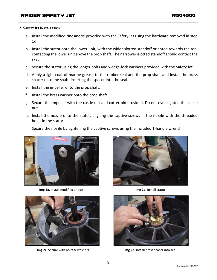#### **2. SAFETY JET INSTALLATION**

- a. Install the modified zinc anode provided with the Safety Jet using the hardware removed in step 1d.
- b. Install the stator onto the lower unit, with the wider-slotted standoff oriented towards the top, contacting the lower unit above the prop shaft. The narrower-slotted standoff should contact the skeg.
- c. Secure the stator using the longer bolts and wedge-lock washers provided with the Safety Jet.
- d. Apply a light coat of marine grease to the rubber seal and the prop shaft and install the brass spacer onto the shaft, inserting the spacer into the seal.
- e. Install the impeller onto the prop shaft.
- f. Install the brass washer onto the prop shaft.
- g. Secure the impeller with the castle nut and cotter pin provided. Do not over-tighten the castle nut.
- h. Install the nozzle onto the stator, aligning the captive screws in the nozzle with the threaded holes in the stator.
- i. Secure the nozzle by tightening the captive screws using the included T-handle wrench.



**Img 2a.** Install modified anode **Img 2b.** Install stator



**Img 2c.** Secure with bolts & washers **Immerger 2d.** Install brass spacer into seal



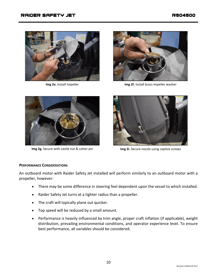



**Img 2e.** Install impeller **Img 2f.** Install brass impeller washer



**Img 2g.** Secure with castle nut & cotter pin **Img 2i.** Secure nozzle using captive screws



#### **PERFORMANCE CONSIDERATIONS**

An outboard motor with Raider Safety Jet installed will perform similarly to an outboard motor with a propeller, however:

- There may be some difference in steering feel dependent upon the vessel to which installed.
- Raider Safety Jet turns at a tighter radius than a propeller.
- The craft will typically plane out quicker.
- Top speed will be reduced by a small amount.
- Performance is heavily influenced by trim angle, proper craft inflation (if applicable), weight distribution, prevailing environmental conditions, and operator experience level. To ensure best performance, all variables should be considered.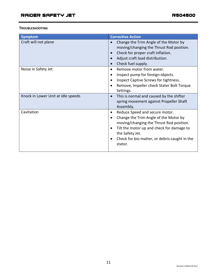#### <span id="page-13-0"></span>**TROUBLESHOOTING**

| <b>Symptom</b>                     | <b>Corrective Action</b>                                                                                                                                                                                                                                                                            |
|------------------------------------|-----------------------------------------------------------------------------------------------------------------------------------------------------------------------------------------------------------------------------------------------------------------------------------------------------|
| Craft will not plane               | Change the Trim Angle of the Motor by<br>$\bullet$<br>moving/changing the Thrust Rod position.<br>Check for proper craft inflation.<br>$\bullet$<br>Adjust craft load distribution.<br>Check fuel supply.<br>$\bullet$                                                                              |
| Noise in Safety Jet                | Remove motor from water.<br>$\bullet$<br>Inspect pump for foreign objects.<br>$\bullet$<br>Inspect Captive Screws for tightness.<br>$\bullet$<br>Remove, Impeller check Stater Bolt Torque<br>$\bullet$<br>Settings.                                                                                |
| Knock in Lower Unit at idle speeds | This is normal and caused by the shifter<br>$\bullet$<br>spring movement against Propeller Shaft<br>Assembly.                                                                                                                                                                                       |
| Cavitation                         | Reduce Speed and secure motor.<br>$\bullet$<br>Change the Trim Angle of the Motor by<br>$\bullet$<br>moving/changing the Thrust Rod position.<br>Tilt the motor up and check for damage to<br>$\bullet$<br>the Safety Jet.<br>Check for bio matter, or debris caught in the<br>$\bullet$<br>stator. |